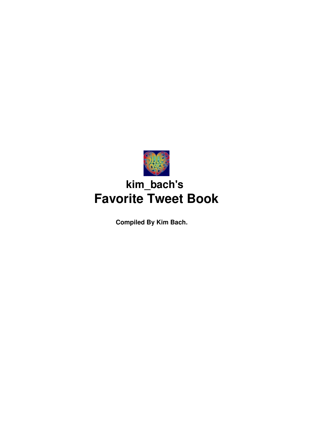

# **kim\_bach's Favorite Tweet Book**

**Compiled By Kim Bach.**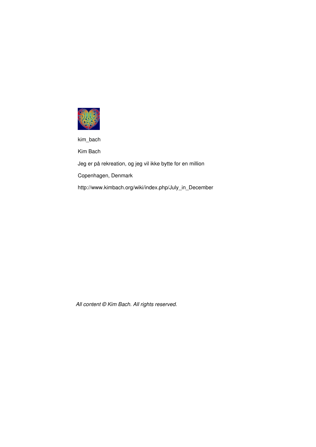

kim\_bach

Kim Bach

Jeg er på rekreation, og jeg vil ikke bytte for en million

Copenhagen, Denmark

http://www.kimbach.org/wiki/index.php/July\_in\_December

*All content © Kim Bach. All rights reserved.*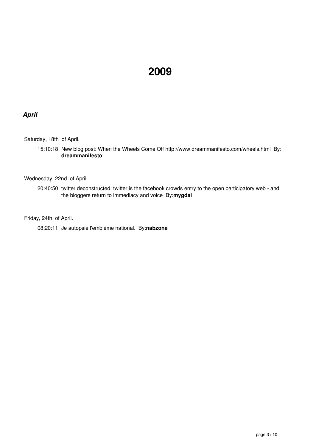## **2009**

### *April*

Saturday, 18th of April.

15:10:18 New blog post: When the Wheels Come Off <http://www.dreammanifesto.com/wheels.html> By: **dreammanifesto**

Wednesday, 22nd of April.

20:40:50 twitter deconstructed: twitter is the facebook crowds entry to the open participatory web - and the bloggers return to immediacy and voice By:**mygdal**

Friday, 24th of April.

08:20:11 Je autopsie l'emblème national. By:**nabzone**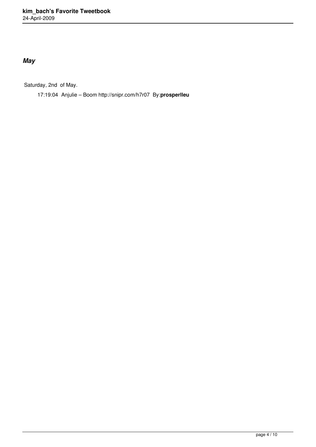## *May*

Saturday, 2nd of May.

17:19:04 Anjulie – Boom <http://snipr.com/h7r07> By:**prosperlleu**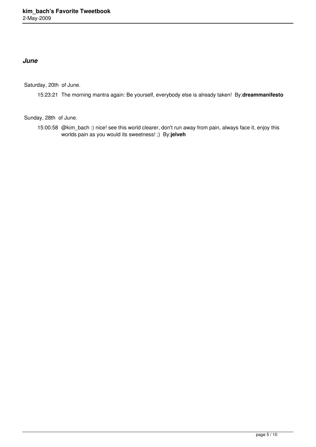#### *June*

Saturday, 20th of June.

15:23:21 The morning mantra again: Be yourself, everybody else is already taken! By:**dreammanifesto**

Sunday, 28th of June.

15:00:58 @kim\_bach :) nice! see this world clearer, don't run away from pain, always face it, enjoy this worlds pain as you would its sweetness! ;) By:**jelveh**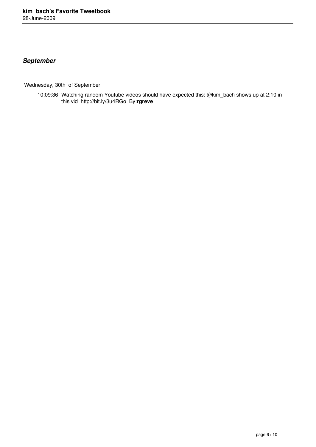## *September*

Wednesday, 30th of September.

10:09:36 Watching random Youtube videos should have expected this: @kim\_bach shows up at 2:10 in this vid <http://bit.ly/3u4RGo> By:**rgreve**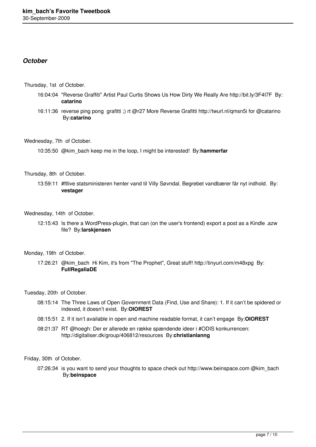#### *October*

Thursday, 1st of October.

- 16:04:04 "Reverse Graffiti" Artist Paul Curtis Shows Us How Dirty We Really Are <http://bit.ly/3F4I7F> By: **catarino**
- 16:11:36 reverse ping pong grafitti ;) rt @r27 More Reverse Grafitti<http://twurl.nl/qmsn5i>for @catarino By:**catarino**

Wednesday, 7th of October.

10:35:50 @kim\_bach keep me in the loop, I might be interested! By:**hammerfar**

Thursday, 8th of October.

13:59:11 #ftlive statsministeren henter vand til Villy Søvndal. Begrebet vandbærer får nyt indhold. By: **vestager**

#### Wednesday, 14th of October.

12:15:43 Is there a WordPress-plugin, that can (on the user's frontend) export a post as a Kindle .azw file? By:**larskjensen**

#### Monday, 19th of October.

17:26:21 @kim\_bach Hi Kim, it's from "The Prophet", Great stuff!<http://tinyurl.com/m48xpg> By: **FullRegaliaDE**

Tuesday, 20th of October.

- 08:15:14 The Three Laws of Open Government Data (Find, Use and Share): 1. If it can't be spidered or indexed, it doesn't exist. By:**OIOREST**
- 08:15:51 2. If it isn't available in open and machine readable format, it can't engage By:**OIOREST**
- 08:21:37 RT @hoegh: Der er allerede en række spændende ideer i #ODIS konkurrencen: <http://digitaliser.dk/group/406812/resources> By:**christianlanng**

Friday, 30th of October.

07:26:34 is you want to send your thoughts to space check out<http://www.beinspace.com> @kim\_bach By:**beinspace**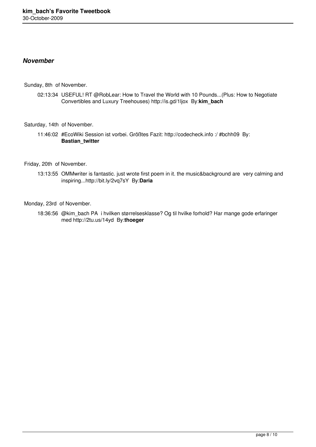#### *November*

Sunday, 8th of November.

02:13:34 USEFUL! RT @RobLear: How to Travel the World with 10 Pounds...(Plus: How to Negotiate Convertibles and Luxury Treehouses)<http://is.gd/1ljox> By:**kim\_bach**

#### Saturday, 14th of November.

11:46:02 #EcoWiki Session ist vorbei. Größtes Fazit:<http://codecheck.info>:/ #bchh09 By: **Bastian\_twitter**

Friday, 20th of November.

13:13:55 OMMwriter is fantastic. just wrote first poem in it. the music&background are very calming and inspiring..[.http://bit.ly/2vq7sY](http://bit.ly/2vq7sY)  By:**Daria**

Monday, 23rd of November.

18:36:56 @kim\_bach PA i hvilken størrelsesklasse? Og til hvilke forhold? Har mange gode erfaringer med <http://2tu.us/14yd> By:**thoeger**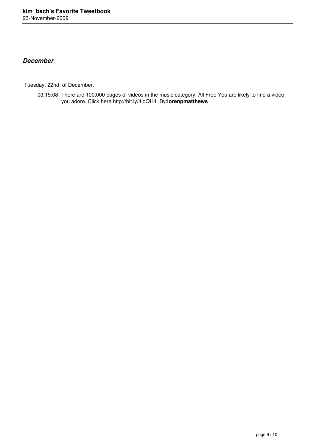#### *December*

Tuesday, 22nd of December.

03:15:08 There are 100,000 pages of videos in the music category. All Free You are likely to find a video you adore. Click here <http://bit.ly/4jqQH4> By:**lorenpmatthews**